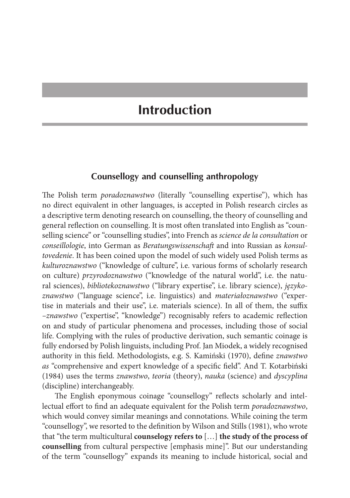## **Introduction**

## **Counsellogy and counselling anthropology**

The Polish term *poradoznawstwo* (literally "counselling expertise"), which has no direct equivalent in other languages, is accepted in Polish research circles as a descriptive term denoting research on counselling, the theory of counselling and general reflection on counselling. It is most often translated into English as "counselling science" or "counselling studies", into French as *science de la consultation* or *conseillologie*, into German as *Beratungswissenschaft* and into Russian as *konsultovedenie*. It has been coined upon the model of such widely used Polish terms as *kulturoznawstwo* ("knowledge of culture", i.e. various forms of scholarly research on culture) *przyrodoznawstwo* ("knowledge of the natural world", i.e. the natural sciences), *bibliotekoznawstwo* ("library expertise", i.e. library science), *językoznawstwo* ("language science", i.e. linguistics) and *materiałoznawstwo* ("expertise in materials and their use", i.e. materials science). In all of them, the suffix *–znawstwo* ("expertise", "knowledge") recognisably refers to academic reflection on and study of particular phenomena and processes, including those of social life. Complying with the rules of productive derivation, such semantic coinage is fully endorsed by Polish linguists, including Prof. Jan Miodek, a widely recognised authority in this field. Methodologists, e.g. S. Kamiński (1970), define *znawstwo as* "comprehensive and expert knowledge of a specific field". And T. Kotarbiński (1984) uses the terms *znawstwo*, *teoria* (theory), *nauka* (science) and *dyscyplina* (discipline) interchangeably.

The English eponymous coinage "counsellogy" reflects scholarly and intellectual effort to find an adequate equivalent for the Polish term *poradoznawstwo*, which would convey similar meanings and connotations. While coining the term "counsellogy", we resorted to the definition by Wilson and Stills (1981), who wrote that "the term multicultural **counselogy refers to** […] **the study of the process of counselling** from cultural perspective [emphasis mine]". But our understanding of the term "counsellogy" expands its meaning to include historical, social and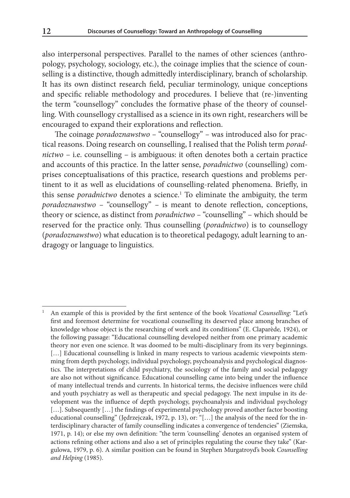also interpersonal perspectives. Parallel to the names of other sciences (anthropology, psychology, sociology, etc.), the coinage implies that the science of counselling is a distinctive, though admittedly interdisciplinary, branch of scholarship. It has its own distinct research field, peculiar terminology, unique conceptions and specific reliable methodology and procedures. I believe that (re-)inventing the term "counsellogy" concludes the formative phase of the theory of counselling. With counsellogy crystallised as a science in its own right, researchers will be encouraged to expand their explorations and reflection.

The coinage *poradoznawstwo –* "counsellogy" *–* was introduced also for practical reasons. Doing research on counselling, I realised that the Polish term *poradnictwo* – i.e. counselling – is ambiguous: it often denotes both a certain practice and accounts of this practice. In the latter sense, *poradnictwo* (counselling) comprises conceptualisations of this practice, research questions and problems pertinent to it as well as elucidations of counselling-related phenomena. Briefly, in this sense *poradnictwo* denotes a science.<sup>1</sup> To eliminate the ambiguity, the term *poradoznawstwo –* "counsellogy" *–* is meant to denote reflection, conceptions, theory or science, as distinct from *poradnictwo –* "counselling" – which should be reserved for the practice only. Thus counselling (*poradnictwo*) is to counsellogy (*poradoznawstwo*) what education is to theoretical pedagogy, adult learning to andragogy or language to linguistics.

<sup>1</sup> An example of this is provided by the first sentence of the book *Vocational Counselling*: "Let's first and foremost determine for vocational counselling its deserved place among branches of knowledge whose object is the researching of work and its conditions" (E. Claparède*,* 1924), or the following passage: "Educational counselling developed neither from one primary academic theory nor even one science. It was doomed to be multi-disciplinary from its very beginnings. [...] Educational counselling is linked in many respects to various academic viewpoints stemming from depth psychology, individual psychology, psychoanalysis and psychological diagnostics. The interpretations of child psychiatry, the sociology of the family and social pedagogy are also not without significance. Educational counselling came into being under the influence of many intellectual trends and currents. In historical terms, the decisive influences were child and youth psychiatry as well as therapeutic and special pedagogy. The next impulse in its development was the influence of depth psychology, psychoanalysis and individual psychology [...]. Subsequently [...] the findings of experimental psychology proved another factor boosting educational counselling" (Jędrzejczak, 1972, p. 13), or: "[...] the analysis of the need for the interdisciplinary character of family counselling indicates a convergence of tendencies" (Ziemska, 1971, p. 14); or else my own definition: "the term 'counselling' denotes an organised system of actions refining other actions and also a set of principles regulating the course they take" (Kargulowa, 1979, p. 6). A similar position can be found in Stephen Murgatroyd's book *Counselling and Helping* (1985).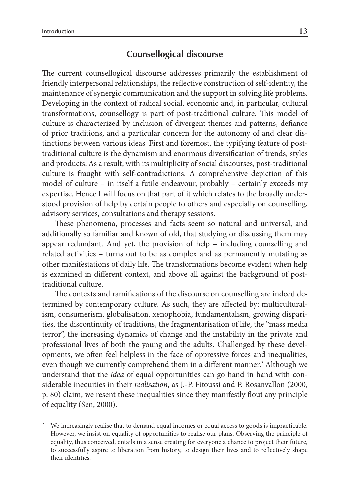## **Counsellogical discourse**

The current counsellogical discourse addresses primarily the establishment of friendly interpersonal relationships, the reflective construction of self-identity, the maintenance of synergic communication and the support in solving life problems. Developing in the context of radical social, economic and, in particular, cultural transformations, counsellogy is part of post-traditional culture. This model of culture is characterized by inclusion of divergent themes and patterns, defiance of prior traditions, and a particular concern for the autonomy of and clear distinctions between various ideas. First and foremost, the typifying feature of posttraditional culture is the dynamism and enormous diversification of trends, styles and products. As a result, with its multiplicity of social discourses, post-traditional culture is fraught with self-contradictions. A comprehensive depiction of this model of culture – in itself a futile endeavour, probably – certainly exceeds my expertise. Hence I will focus on that part of it which relates to the broadly understood provision of help by certain people to others and especially on counselling, advisory services, consultations and therapy sessions.

These phenomena, processes and facts seem so natural and universal, and additionally so familiar and known of old, that studying or discussing them may appear redundant. And yet, the provision of help – including counselling and related activities – turns out to be as complex and as permanently mutating as other manifestations of daily life. The transformations become evident when help is examined in different context, and above all against the background of posttraditional culture.

The contexts and ramifications of the discourse on counselling are indeed determined by contemporary culture. As such, they are affected by: multiculturalism, consumerism, globalisation, xenophobia, fundamentalism, growing disparities, the discontinuity of traditions, the fragmentarisation of life, the "mass media terror", the increasing dynamics of change and the instability in the private and professional lives of both the young and the adults. Challenged by these developments, we often feel helpless in the face of oppressive forces and inequalities, even though we currently comprehend them in a different manner.<sup>2</sup> Although we understand that the *idea* of equal opportunities can go hand in hand with considerable inequities in their *realisation*, as J.-P. Fitoussi and P. Rosanvallon (2000, p. 80) claim, we resent these inequalities since they manifestly flout any principle of equality (Sen, 2000).

We increasingly realise that to demand equal incomes or equal access to goods is impracticable. However, we insist on equality of opportunities to realise our plans. Observing the principle of equality, thus conceived, entails in a sense creating for everyone a chance to project their future, to successfully aspire to liberation from history, to design their lives and to reflectively shape their identities.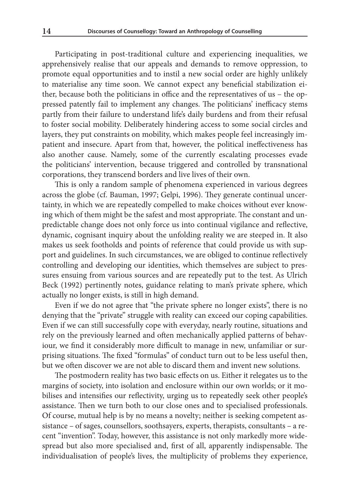Participating in post-traditional culture and experiencing inequalities, we apprehensively realise that our appeals and demands to remove oppression, to promote equal opportunities and to instil a new social order are highly unlikely to materialise any time soon. We cannot expect any beneficial stabilization either, because both the politicians in office and the representatives of us – the oppressed patently fail to implement any changes. The politicians' inefficacy stems partly from their failure to understand life's daily burdens and from their refusal to foster social mobility. Deliberately hindering access to some social circles and layers, they put constraints on mobility, which makes people feel increasingly impatient and insecure. Apart from that, however, the political ineffectiveness has also another cause. Namely, some of the currently escalating processes evade the politicians' intervention, because triggered and controlled by transnational corporations, they transcend borders and live lives of their own.

This is only a random sample of phenomena experienced in various degrees across the globe (cf. Bauman, 1997; Gelpi, 1996). They generate continual uncertainty, in which we are repeatedly compelled to make choices without ever knowing which of them might be the safest and most appropriate. The constant and unpredictable change does not only force us into continual vigilance and reflective, dynamic, cognisant inquiry about the unfolding reality we are steeped in. It also makes us seek footholds and points of reference that could provide us with support and guidelines. In such circumstances, we are obliged to continue reflectively controlling and developing our identities, which themselves are subject to pressures ensuing from various sources and are repeatedly put to the test. As Ulrich Beck (1992) pertinently notes, guidance relating to man's private sphere, which actually no longer exists, is still in high demand.

Even if we do not agree that "the private sphere no longer exists", there is no denying that the "private" struggle with reality can exceed our coping capabilities. Even if we can still successfully cope with everyday, nearly routine, situations and rely on the previously learned and often mechanically applied patterns of behaviour, we find it considerably more difficult to manage in new, unfamiliar or surprising situations. The fixed "formulas" of conduct turn out to be less useful then, but we often discover we are not able to discard them and invent new solutions.

The postmodern reality has two basic effects on us. Either it relegates us to the margins of society, into isolation and enclosure within our own worlds; or it mobilises and intensifies our reflectivity, urging us to repeatedly seek other people's assistance. Then we turn both to our close ones and to specialised professionals. Of course, mutual help is by no means a novelty; neither is seeking competent assistance – of sages, counsellors, soothsayers, experts, therapists, consultants – a recent "invention". Today, however, this assistance is not only markedly more widespread but also more specialised and, first of all, apparently indispensable. The individualisation of people's lives, the multiplicity of problems they experience,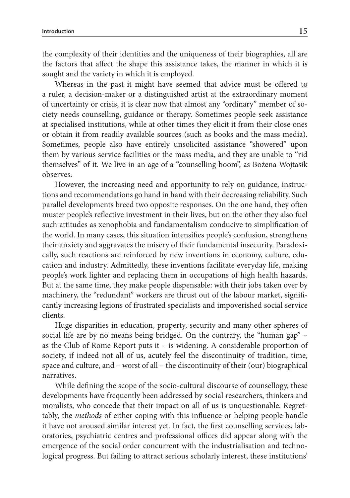the complexity of their identities and the uniqueness of their biographies, all are the factors that affect the shape this assistance takes, the manner in which it is sought and the variety in which it is employed.

Whereas in the past it might have seemed that advice must be offered to a ruler, a decision-maker or a distinguished artist at the extraordinary moment of uncertainty or crisis, it is clear now that almost any "ordinary" member of society needs counselling, guidance or therapy. Sometimes people seek assistance at specialised institutions, while at other times they elicit it from their close ones or obtain it from readily available sources (such as books and the mass media). Sometimes, people also have entirely unsolicited assistance "showered" upon them by various service facilities or the mass media, and they are unable to "rid themselves" of it. We live in an age of a "counselling boom", as Bożena Wojtasik observes.

However, the increasing need and opportunity to rely on guidance, instructions and recommendations go hand in hand with their decreasing reliability. Such parallel developments breed two opposite responses. On the one hand, they often muster people's reflective investment in their lives, but on the other they also fuel such attitudes as xenophobia and fundamentalism conducive to simplification of the world. In many cases, this situation intensifies people's confusion, strengthens their anxiety and aggravates the misery of their fundamental insecurity. Paradoxically, such reactions are reinforced by new inventions in economy, culture, education and industry. Admittedly, these inventions facilitate everyday life, making people's work lighter and replacing them in occupations of high health hazards. But at the same time, they make people dispensable: with their jobs taken over by machinery, the "redundant" workers are thrust out of the labour market, significantly increasing legions of frustrated specialists and impoverished social service clients.

Huge disparities in education, property, security and many other spheres of social life are by no means being bridged. On the contrary, the "human gap" – as the Club of Rome Report puts it – is widening. A considerable proportion of society, if indeed not all of us, acutely feel the discontinuity of tradition, time, space and culture, and – worst of all – the discontinuity of their (our) biographical narratives.

While defining the scope of the socio-cultural discourse of counsellogy, these developments have frequently been addressed by social researchers, thinkers and moralists, who concede that their impact on all of us is unquestionable. Regrettably, the *methods* of either coping with this influence or helping people handle it have not aroused similar interest yet. In fact, the first counselling services, laboratories, psychiatric centres and professional offices did appear along with the emergence of the social order concurrent with the industrialisation and technological progress. But failing to attract serious scholarly interest, these institutions'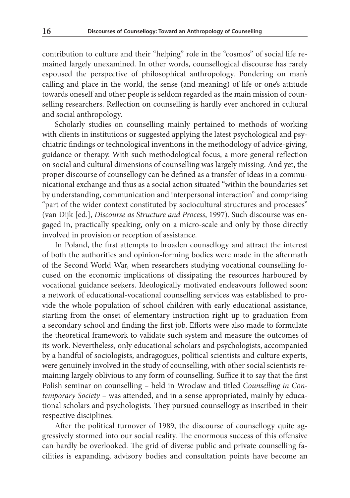contribution to culture and their "helping" role in the "cosmos" of social life remained largely unexamined. In other words, counsellogical discourse has rarely espoused the perspective of philosophical anthropology. Pondering on man's calling and place in the world, the sense (and meaning) of life or one's attitude towards oneself and other people is seldom regarded as the main mission of counselling researchers. Reflection on counselling is hardly ever anchored in cultural and social anthropology.

Scholarly studies on counselling mainly pertained to methods of working with clients in institutions or suggested applying the latest psychological and psychiatric findings or technological inventions in the methodology of advice-giving, guidance or therapy. With such methodological focus, a more general reflection on social and cultural dimensions of counselling was largely missing. And yet, the proper discourse of counsellogy can be defined as a transfer of ideas in a communicational exchange and thus as a social action situated "within the boundaries set by understanding, communication and interpersonal interaction" and comprising "part of the wider context constituted by sociocultural structures and processes" (van Dijk [ed.], *Discourse as Structure and Process*, 1997). Such discourse was engaged in, practically speaking, only on a micro-scale and only by those directly involved in provision or reception of assistance.

In Poland, the first attempts to broaden counsellogy and attract the interest of both the authorities and opinion-forming bodies were made in the aftermath of the Second World War, when researchers studying vocational counselling focused on the economic implications of dissipating the resources harboured by vocational guidance seekers. Ideologically motivated endeavours followed soon: a network of educational-vocational counselling services was established to provide the whole population of school children with early educational assistance, starting from the onset of elementary instruction right up to graduation from a secondary school and finding the first job. Efforts were also made to formulate the theoretical framework to validate such system and measure the outcomes of its work. Nevertheless, only educational scholars and psychologists, accompanied by a handful of sociologists, andragogues, political scientists and culture experts, were genuinely involved in the study of counselling, with other social scientists remaining largely oblivious to any form of counselling. Suffice it to say that the first Polish seminar on counselling – held in Wroclaw and titled *Counselling in Contemporary Society* – was attended, and in a sense appropriated, mainly by educational scholars and psychologists. They pursued counsellogy as inscribed in their respective disciplines.

After the political turnover of 1989, the discourse of counsellogy quite aggressively stormed into our social reality. The enormous success of this offensive can hardly be overlooked. The grid of diverse public and private counselling facilities is expanding, advisory bodies and consultation points have become an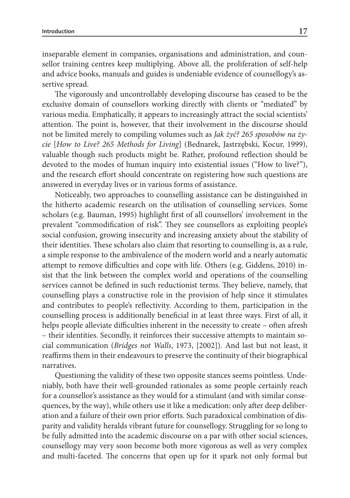inseparable element in companies, organisations and administration, and counsellor training centres keep multiplying. Above all, the proliferation of self-help and advice books, manuals and guides is undeniable evidence of counsellogy's assertive spread.

The vigorously and uncontrollably developing discourse has ceased to be the exclusive domain of counsellors working directly with clients or "mediated" by various media. Emphatically, it appears to increasingly attract the social scientists' attention. The point is, however, that their involvement in the discourse should not be limited merely to compiling volumes such as *Jak żyć? 265 sposobów na życie* [*How to Live? 265 Methods for Living*] (Bednarek, Jastrzębski, Kocur, 1999), valuable though such products might be. Rather, profound reflection should be devoted to the modes of human inquiry into existential issues ("How to live?"), and the research effort should concentrate on registering how such questions are answered in everyday lives or in various forms of assistance.

Noticeably, two approaches to counselling assistance can be distinguished in the hitherto academic research on the utilisation of counselling services. Some scholars (e.g. Bauman, 1995) highlight first of all counsellors' involvement in the prevalent "commodification of risk". They see counsellors as exploiting people's social confusion, growing insecurity and increasing anxiety about the stability of their identities. These scholars also claim that resorting to counselling is, as a rule, a simple response to the ambivalence of the modern world and a nearly automatic attempt to remove difficulties and cope with life. Others (e.g. Giddens, 2010) insist that the link between the complex world and operations of the counselling services cannot be defined in such reductionist terms. They believe, namely, that counselling plays a constructive role in the provision of help since it stimulates and contributes to people's reflectivity. According to them, participation in the counselling process is additionally beneficial in at least three ways. First of all, it helps people alleviate difficulties inherent in the necessity to create – often afresh – their identities. Secondly, it reinforces their successive attempts to maintain social communication (*Bridges not Walls*, 1973, [2002]). And last but not least, it reaffirms them in their endeavours to preserve the continuity of their biographical narratives.

Questioning the validity of these two opposite stances seems pointless. Undeniably, both have their well-grounded rationales as some people certainly reach for a counsellor's assistance as they would for a stimulant (and with similar consequences, by the way), while others use it like a medication: only after deep deliberation and a failure of their own prior efforts. Such paradoxical combination of disparity and validity heralds vibrant future for counsellogy. Struggling for so long to be fully admitted into the academic discourse on a par with other social sciences, counsellogy may very soon become both more vigorous as well as very complex and multi-faceted. The concerns that open up for it spark not only formal but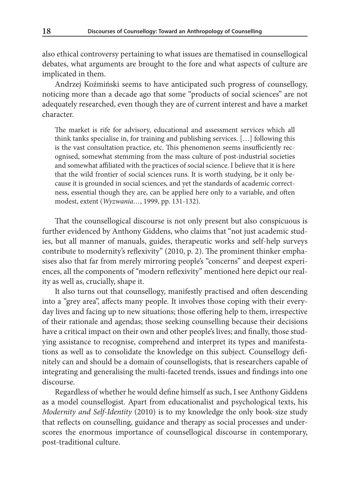also ethical controversy pertaining to what issues are thematised in counsellogical debates, what arguments are brought to the fore and what aspects of culture are implicated in them.

Andrzej Koźmiński seems to have anticipated such progress of counsellogy, noticing more than a decade ago that some "products of social sciences" are not adequately researched, even though they are of current interest and have a market character.

The market is rife for advisory, educational and assessment services which all think tanks specialise in, for training and publishing services. […] following this is the vast consultation practice, etc. This phenomenon seems insufficiently recognised, somewhat stemming from the mass culture of post-industrial societies and somewhat affiliated with the practices of social science. I believe that it is here that the wild frontier of social sciences runs. It is worth studying, be it only because it is grounded in social sciences, and yet the standards of academic correctness, essential though they are, can be applied here only to a variable, and often modest, extent (*Wyzwania…*, 1999, pp. 131-132).

That the counsellogical discourse is not only present but also conspicuous is further evidenced by Anthony Giddens, who claims that "not just academic studies, but all manner of manuals, guides, therapeutic works and self-help surveys contribute to modernity's reflexivity" (2010, p. 2). The prominent thinker emphasises also that far from merely mirroring people's "concerns" and deepest experiences, all the components of "modern reflexivity" mentioned here depict our reality as well as, crucially, shape it.

It also turns out that counsellogy, manifestly practised and often descending into a "grey area", affects many people. It involves those coping with their everyday lives and facing up to new situations; those offering help to them, irrespective of their rationale and agendas; those seeking counselling because their decisions have a critical impact on their own and other people's lives; and finally, those studying assistance to recognise, comprehend and interpret its types and manifestations as well as to consolidate the knowledge on this subject. Counsellogy definitely can and should be a domain of counsellogists, that is researchers capable of integrating and generalising the multi-faceted trends, issues and findings into one discourse.

Regardless of whether he would define himself as such, I see Anthony Giddens as a model counsellogist. Apart from educationalist and psychological texts, his *Modernity and Self-Identity* (2010) is to my knowledge the only book-size study that reflects on counselling, guidance and therapy as social processes and underscores the enormous importance of counsellogical discourse in contemporary, post-traditional culture.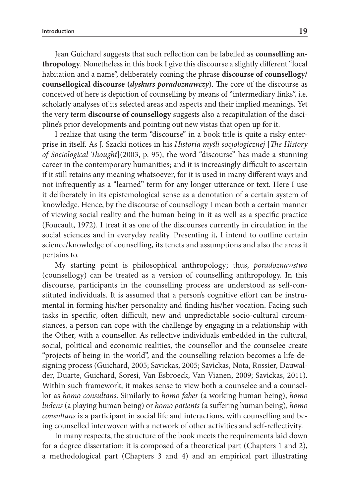Jean Guichard suggests that such reflection can be labelled as **counselling anthropology**. Nonetheless in this book I give this discourse a slightly different "local habitation and a name", deliberately coining the phrase **discourse of counsellogy/ counsellogical discourse (***dyskurs poradoznawczy*). The core of the discourse as conceived of here is depiction of counselling by means of "intermediary links", i.e. scholarly analyses of its selected areas and aspects and their implied meanings. Yet the very term **discourse of counsellogy** suggests also a recapitulation of the discipline's prior developments and pointing out new vistas that open up for it.

I realize that using the term "discourse" in a book title is quite a risky enterprise in itself. As J. Szacki notices in his *Historia myśli socjologicznej* [*The History of Sociological Thought*](2003, p. 95), the word "discourse" has made a stunning career in the contemporary humanities; and it is increasingly difficult to ascertain if it still retains any meaning whatsoever, for it is used in many different ways and not infrequently as a "learned" term for any longer utterance or text. Here I use it deliberately in its epistemological sense as a denotation of a certain system of knowledge. Hence, by the discourse of counsellogy I mean both a certain manner of viewing social reality and the human being in it as well as a specific practice (Foucault, 1972). I treat it as one of the discourses currently in circulation in the social sciences and in everyday reality. Presenting it, I intend to outline certain science/knowledge of counselling, its tenets and assumptions and also the areas it pertains to.

My starting point is philosophical anthropology; thus, *poradoznawstwo* (counsellogy) can be treated as a version of counselling anthropology. In this discourse, participants in the counselling process are understood as self-constituted individuals. It is assumed that a person's cognitive effort can be instrumental in forming his/her personality and finding his/her vocation. Facing such tasks in specific, often difficult, new and unpredictable socio-cultural circumstances, a person can cope with the challenge by engaging in a relationship with the Other, with a counsellor. As reflective individuals embedded in the cultural, social, political and economic realities, the counsellor and the counselee create "projects of being-in-the-world", and the counselling relation becomes a life-designing process (Guichard, 2005; Savickas, 2005; Savickas, Nota, Rossier, Dauwalder, Duarte, Guichard, Soresi, Van Esbroeck, Van Vianen, 2009; Savickas, 2011). Within such framework, it makes sense to view both a counselee and a counsellor as *homo consultans*. Similarly to *homo faber* (a working human being), *homo ludens* (a playing human being) or *homo patients* (a suffering human being), *homo consultans* is a participant in social life and interactions, with counselling and being counselled interwoven with a network of other activities and self-reflectivity.

In many respects, the structure of the book meets the requirements laid down for a degree dissertation: it is composed of a theoretical part (Chapters 1 and 2), a methodological part (Chapters 3 and 4) and an empirical part illustrating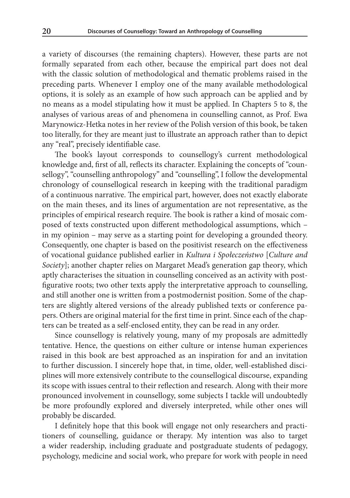a variety of discourses (the remaining chapters). However, these parts are not formally separated from each other, because the empirical part does not deal with the classic solution of methodological and thematic problems raised in the preceding parts. Whenever I employ one of the many available methodological options, it is solely as an example of how such approach can be applied and by no means as a model stipulating how it must be applied. In Chapters 5 to 8, the analyses of various areas of and phenomena in counselling cannot, as Prof. Ewa Marynowicz-Hetka notes in her review of the Polish version of this book, be taken too literally, for they are meant just to illustrate an approach rather than to depict any "real", precisely identifiable case.

The book's layout corresponds to counsellogy's current methodological knowledge and, first of all, reflects its character. Explaining the concepts of "counsellogy", "counselling anthropology" and "counselling", I follow the developmental chronology of counsellogical research in keeping with the traditional paradigm of a continuous narrative. The empirical part, however, does not exactly elaborate on the main theses, and its lines of argumentation are not representative, as the principles of empirical research require. The book is rather a kind of mosaic composed of texts constructed upon different methodological assumptions, which – in my opinion – may serve as a starting point for developing a grounded theory. Consequently, one chapter is based on the positivist research on the effectiveness of vocational guidance published earlier in *Kultura i Społeczeństwo* [*Culture and Society*]; another chapter relies on Margaret Mead's generation gap theory, which aptly characterises the situation in counselling conceived as an activity with postfigurative roots; two other texts apply the interpretative approach to counselling, and still another one is written from a postmodernist position. Some of the chapters are slightly altered versions of the already published texts or conference papers. Others are original material for the first time in print. Since each of the chapters can be treated as a self-enclosed entity, they can be read in any order.

Since counsellogy is relatively young, many of my proposals are admittedly tentative. Hence, the questions on either culture or intense human experiences raised in this book are best approached as an inspiration for and an invitation to further discussion. I sincerely hope that, in time, older, well-established disciplines will more extensively contribute to the counsellogical discourse, expanding its scope with issues central to their reflection and research. Along with their more pronounced involvement in counsellogy, some subjects I tackle will undoubtedly be more profoundly explored and diversely interpreted, while other ones will probably be discarded.

I definitely hope that this book will engage not only researchers and practitioners of counselling, guidance or therapy. My intention was also to target a wider readership, including graduate and postgraduate students of pedagogy, psychology, medicine and social work, who prepare for work with people in need